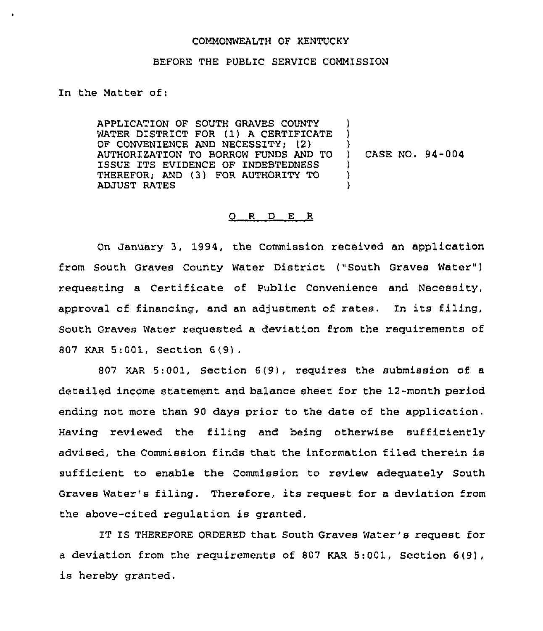## COMMONWEALTH OF KENTUCKY

## BEFORE THE PUBLIC SERVICE COMMISSION

In the Matter of:

APPLICATION OF SOUTH GRAVES COUNTY WATER DISTRICT FOR (1) <sup>A</sup> CERTIFICATE OF CONVENIENCE AND NECESSITY; (2) AUTHORIZATION TQ BORROW FUNDS AND TO ISSUE ITS EVIDENCE OF INDEBTEDNESS THEREFOR; AND (3) FOR AUTHORITY TO ADJUST RATES  $\lambda$ )  $\}$ ) CASE NO. 94-004 ) ) )

## Q R D E R

On January 3, 1994, the Commission received an application from South Graves County Water District ("South Graves Water" ) requesting a Certificate of Public Convenience and Necessity, approval of financing, and an adjustment of rates. In its filing, South Graves Water requested a deviation from the requirements of 807 KAR  $5:001$ , Section  $6(9)$ .

807 KAR 5;001, Section 6(9), requires the submission of a detailed income statement and balance sheet for the 12-month period ending not more than 90 days prior to the date of the application. Having reviewed the filing and being otherwise sufficiently advised, the Commission finds that the information filed therein is sufficient to enable the Commission to review adequately South Graves Water's filing. Therefore, its request for a deviation from the above-cited regulation is granted.

IT IS THEREFORE ORDERED that South Graves Water's request for a deviation from the requirements of 807 KAR 5:001, Section 6(9), is hereby granted.